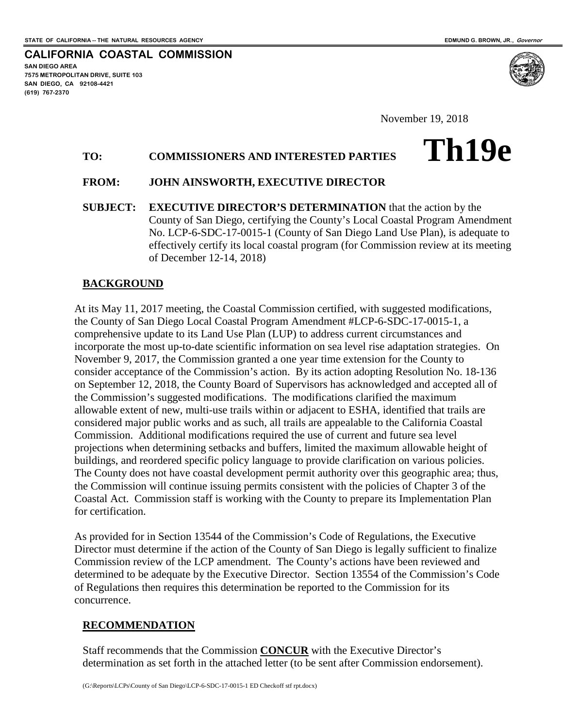**Th19e**

**CALIFORNIA COASTAL COMMISSION SAN DIEGO AREA 7575 METROPOLITAN DRIVE, SUITE 103 SAN DIEGO, CA 92108-4421 (619) 767-2370**

November 19, 2018

## **TO: COMMISSIONERS AND INTERESTED PARTIES**

### **FROM: JOHN AINSWORTH, EXECUTIVE DIRECTOR**

**SUBJECT: EXECUTIVE DIRECTOR'S DETERMINATION** that the action by the County of San Diego, certifying the County's Local Coastal Program Amendment No. LCP-6-SDC-17-0015-1 (County of San Diego Land Use Plan), is adequate to effectively certify its local coastal program (for Commission review at its meeting of December 12-14, 2018)

### **BACKGROUND**

At its May 11, 2017 meeting, the Coastal Commission certified, with suggested modifications, the County of San Diego Local Coastal Program Amendment #LCP-6-SDC-17-0015-1, a comprehensive update to its Land Use Plan (LUP) to address current circumstances and incorporate the most up-to-date scientific information on sea level rise adaptation strategies. On November 9, 2017, the Commission granted a one year time extension for the County to consider acceptance of the Commission's action. By its action adopting Resolution No. 18-136 on September 12, 2018, the County Board of Supervisors has acknowledged and accepted all of the Commission's suggested modifications. The modifications clarified the maximum allowable extent of new, multi-use trails within or adjacent to ESHA, identified that trails are considered major public works and as such, all trails are appealable to the California Coastal Commission. Additional modifications required the use of current and future sea level projections when determining setbacks and buffers, limited the maximum allowable height of buildings, and reordered specific policy language to provide clarification on various policies. The County does not have coastal development permit authority over this geographic area; thus, the Commission will continue issuing permits consistent with the policies of Chapter 3 of the Coastal Act. Commission staff is working with the County to prepare its Implementation Plan for certification.

As provided for in Section 13544 of the Commission's Code of Regulations, the Executive Director must determine if the action of the County of San Diego is legally sufficient to finalize Commission review of the LCP amendment. The County's actions have been reviewed and determined to be adequate by the Executive Director. Section 13554 of the Commission's Code of Regulations then requires this determination be reported to the Commission for its concurrence.

## **RECOMMENDATION**

Staff recommends that the Commission **CONCUR** with the Executive Director's determination as set forth in the attached letter (to be sent after Commission endorsement).